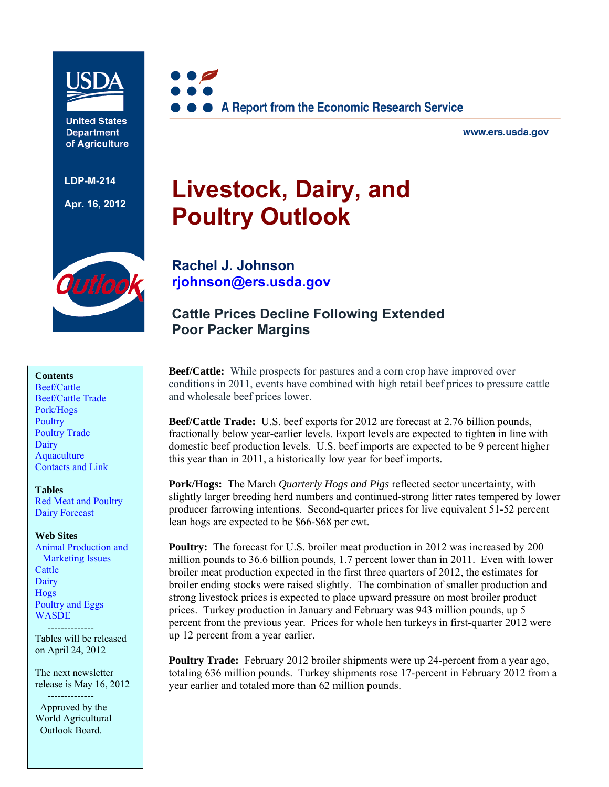

**United States Department** of Agriculture

**LDP-M-214** 

**Apr. 16, 2012**



www.ers.usda.gov

# **Livestock, Dairy, and Poultry Outlook**

utloo

### **Contents**

[Beef/Cattle](#page-2-0)  [Beef/Cattle Trade](#page-4-0)  [Pork/Hogs](#page-5-0)  **Poultry** [Poultry Trade](#page-10-0)  [Dairy](#page-11-0)  **Aquaculture** [Contacts and Link](#page-18-0) 

#### **Tables**

[Red Meat and Poultry](#page-19-0)  [Dairy Forecast](#page-20-0) 

#### **Web Sites**

[Animal Production and](http://www.ers.usda.gov/briefing/AnimalProducts/)  Marketing Issues **Cattle Dairy** [Hogs](http://www.ers.usda.gov/briefing/hogs/)  [Poultry and Eggs](http://www.ers.usda.gov/briefing/poultry/)  [WASDE](http://usda.mannlib.cornell.edu/MannUsda/viewDocumentInfo.do?documentID=1194) 

 -------------- Tables will be released on April 24, 2012

The next newsletter release is May 16, 2012

 -------------- Approved by the World Agricultural Outlook Board.

**[Rachel J. Johnson](mailto: rjohnson@ers.usda.gov)  rjohnson@ers.usda.gov** 

# **Cattle Prices Decline Following Extended Poor Packer Margins**

**Beef/Cattle:** While prospects for pastures and a corn crop have improved over conditions in 2011, events have combined with high retail beef prices to pressure cattle and wholesale beef prices lower.

**Beef/Cattle Trade:** U.S. beef exports for 2012 are forecast at 2.76 billion pounds, fractionally below year-earlier levels. Export levels are expected to tighten in line with domestic beef production levels. U.S. beef imports are expected to be 9 percent higher this year than in 2011, a historically low year for beef imports.

**Pork/Hogs:** The March *Quarterly Hogs and Pigs* reflected sector uncertainty, with slightly larger breeding herd numbers and continued-strong litter rates tempered by lower producer farrowing intentions. Second-quarter prices for live equivalent 51-52 percent lean hogs are expected to be \$66-\$68 per cwt.

**Poultry:** The forecast for U.S. broiler meat production in 2012 was increased by 200 million pounds to 36.6 billion pounds, 1.7 percent lower than in 2011. Even with lower broiler meat production expected in the first three quarters of 2012, the estimates for broiler ending stocks were raised slightly. The combination of smaller production and strong livestock prices is expected to place upward pressure on most broiler product prices. Turkey production in January and February was 943 million pounds, up 5 percent from the previous year. Prices for whole hen turkeys in first-quarter 2012 were up 12 percent from a year earlier.

**Poultry Trade:** February 2012 broiler shipments were up 24-percent from a year ago, totaling 636 million pounds. Turkey shipments rose 17-percent in February 2012 from a year earlier and totaled more than 62 million pounds.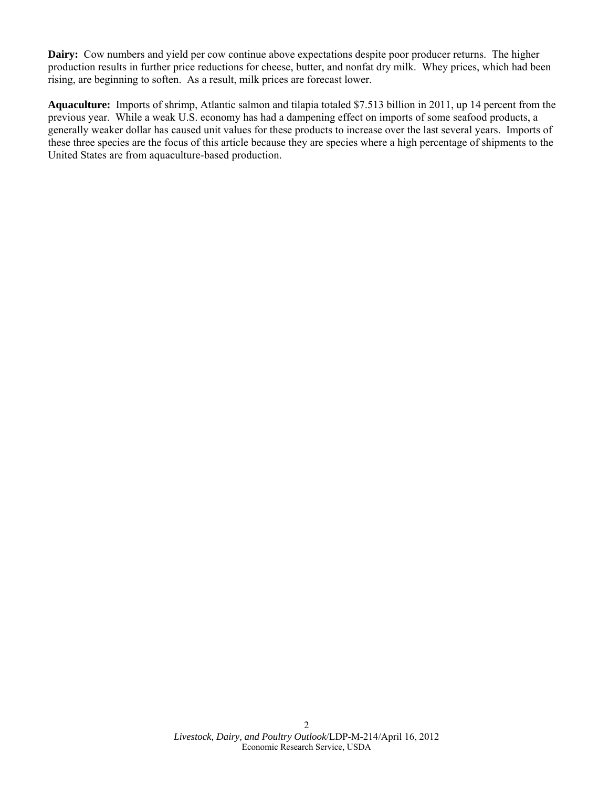**Dairy:** Cow numbers and yield per cow continue above expectations despite poor producer returns. The higher production results in further price reductions for cheese, butter, and nonfat dry milk. Whey prices, which had been rising, are beginning to soften. As a result, milk prices are forecast lower.

**Aquaculture:** Imports of shrimp, Atlantic salmon and tilapia totaled \$7.513 billion in 2011, up 14 percent from the previous year. While a weak U.S. economy has had a dampening effect on imports of some seafood products, a generally weaker dollar has caused unit values for these products to increase over the last several years. Imports of these three species are the focus of this article because they are species where a high percentage of shipments to the United States are from aquaculture-based production.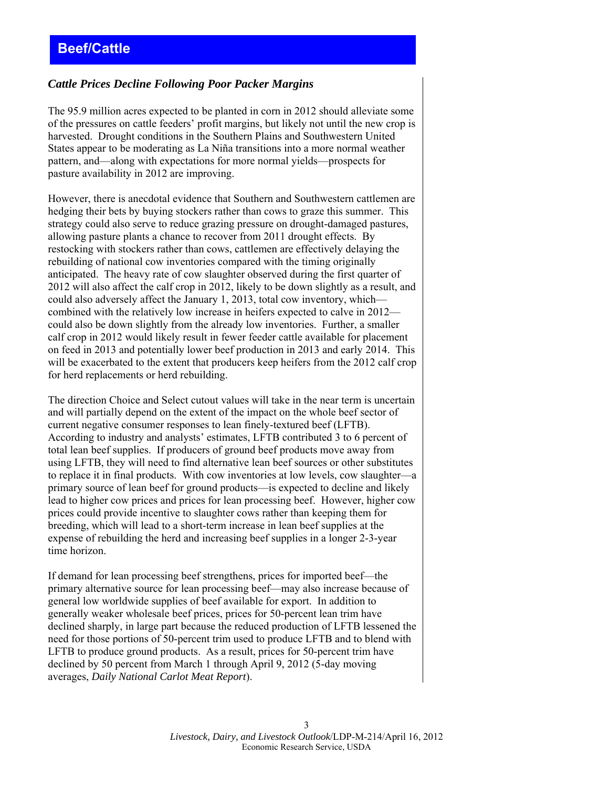# <span id="page-2-0"></span>*Cattle Prices Decline Following Poor Packer Margins*

The 95.9 million acres expected to be planted in corn in 2012 should alleviate some of the pressures on cattle feeders' profit margins, but likely not until the new crop is harvested. Drought conditions in the Southern Plains and Southwestern United States appear to be moderating as La Niña transitions into a more normal weather pattern, and—along with expectations for more normal yields—prospects for pasture availability in 2012 are improving.

However, there is anecdotal evidence that Southern and Southwestern cattlemen are hedging their bets by buying stockers rather than cows to graze this summer. This strategy could also serve to reduce grazing pressure on drought-damaged pastures, allowing pasture plants a chance to recover from 2011 drought effects. By restocking with stockers rather than cows, cattlemen are effectively delaying the rebuilding of national cow inventories compared with the timing originally anticipated. The heavy rate of cow slaughter observed during the first quarter of 2012 will also affect the calf crop in 2012, likely to be down slightly as a result, and could also adversely affect the January 1, 2013, total cow inventory, which combined with the relatively low increase in heifers expected to calve in 2012 could also be down slightly from the already low inventories. Further, a smaller calf crop in 2012 would likely result in fewer feeder cattle available for placement on feed in 2013 and potentially lower beef production in 2013 and early 2014. This will be exacerbated to the extent that producers keep heifers from the 2012 calf crop for herd replacements or herd rebuilding.

The direction Choice and Select cutout values will take in the near term is uncertain and will partially depend on the extent of the impact on the whole beef sector of current negative consumer responses to lean finely-textured beef (LFTB). According to industry and analysts' estimates, LFTB contributed 3 to 6 percent of total lean beef supplies. If producers of ground beef products move away from using LFTB, they will need to find alternative lean beef sources or other substitutes to replace it in final products. With cow inventories at low levels, cow slaughter—a primary source of lean beef for ground products—is expected to decline and likely lead to higher cow prices and prices for lean processing beef. However, higher cow prices could provide incentive to slaughter cows rather than keeping them for breeding, which will lead to a short-term increase in lean beef supplies at the expense of rebuilding the herd and increasing beef supplies in a longer 2-3-year time horizon.

If demand for lean processing beef strengthens, prices for imported beef—the primary alternative source for lean processing beef—may also increase because of general low worldwide supplies of beef available for export. In addition to generally weaker wholesale beef prices, prices for 50-percent lean trim have declined sharply, in large part because the reduced production of LFTB lessened the need for those portions of 50-percent trim used to produce LFTB and to blend with LFTB to produce ground products. As a result, prices for 50-percent trim have declined by 50 percent from March 1 through April 9, 2012 (5-day moving averages, *Daily National Carlot Meat Report*).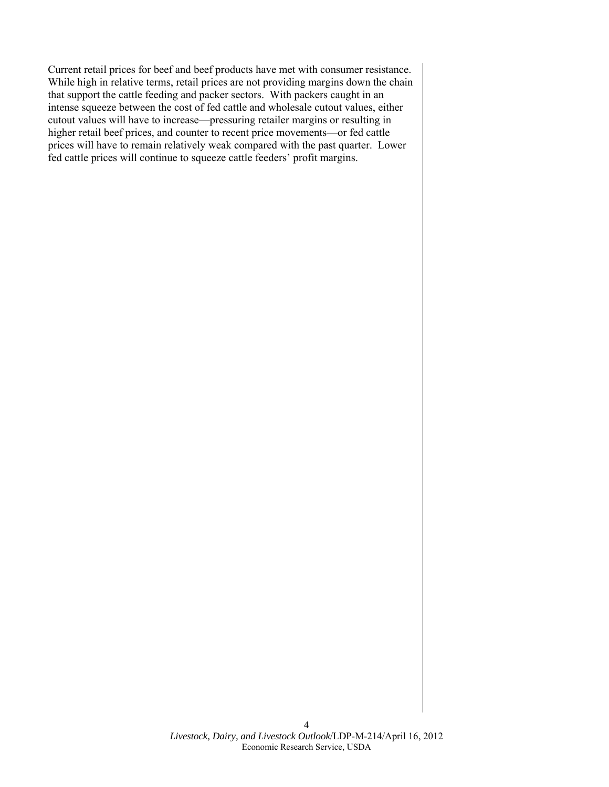Current retail prices for beef and beef products have met with consumer resistance. While high in relative terms, retail prices are not providing margins down the chain that support the cattle feeding and packer sectors. With packers caught in an intense squeeze between the cost of fed cattle and wholesale cutout values, either cutout values will have to increase—pressuring retailer margins or resulting in higher retail beef prices, and counter to recent price movements—or fed cattle prices will have to remain relatively weak compared with the past quarter. Lower fed cattle prices will continue to squeeze cattle feeders' profit margins.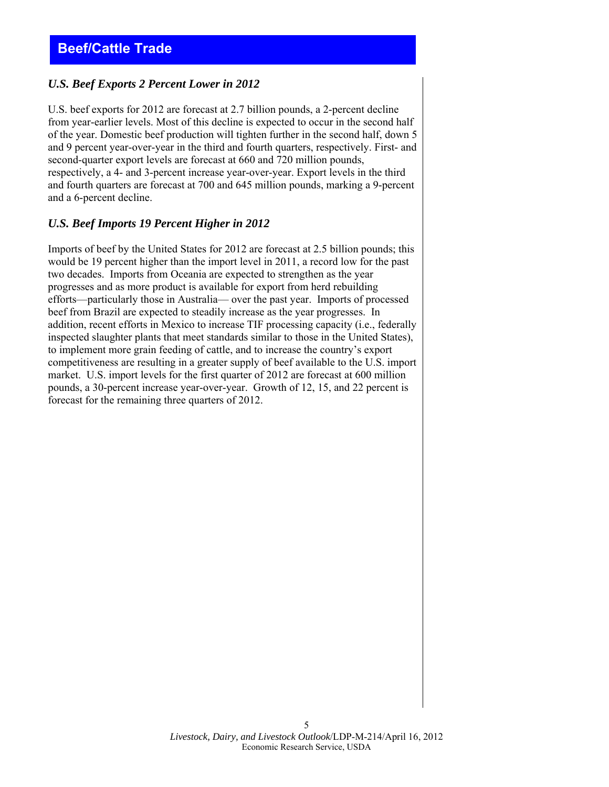# <span id="page-4-0"></span>*U.S. Beef Exports 2 Percent Lower in 2012*

U.S. beef exports for 2012 are forecast at 2.7 billion pounds, a 2-percent decline from year-earlier levels. Most of this decline is expected to occur in the second half of the year. Domestic beef production will tighten further in the second half, down 5 and 9 percent year-over-year in the third and fourth quarters, respectively. First- and second-quarter export levels are forecast at 660 and 720 million pounds, respectively, a 4- and 3-percent increase year-over-year. Export levels in the third and fourth quarters are forecast at 700 and 645 million pounds, marking a 9-percent and a 6-percent decline.

## *U.S. Beef Imports 19 Percent Higher in 2012*

Imports of beef by the United States for 2012 are forecast at 2.5 billion pounds; this would be 19 percent higher than the import level in 2011, a record low for the past two decades. Imports from Oceania are expected to strengthen as the year progresses and as more product is available for export from herd rebuilding efforts—particularly those in Australia— over the past year. Imports of processed beef from Brazil are expected to steadily increase as the year progresses. In addition, recent efforts in Mexico to increase TIF processing capacity (i.e., federally inspected slaughter plants that meet standards similar to those in the United States), to implement more grain feeding of cattle, and to increase the country's export competitiveness are resulting in a greater supply of beef available to the U.S. import market. U.S. import levels for the first quarter of 2012 are forecast at 600 million pounds, a 30-percent increase year-over-year. Growth of 12, 15, and 22 percent is forecast for the remaining three quarters of 2012.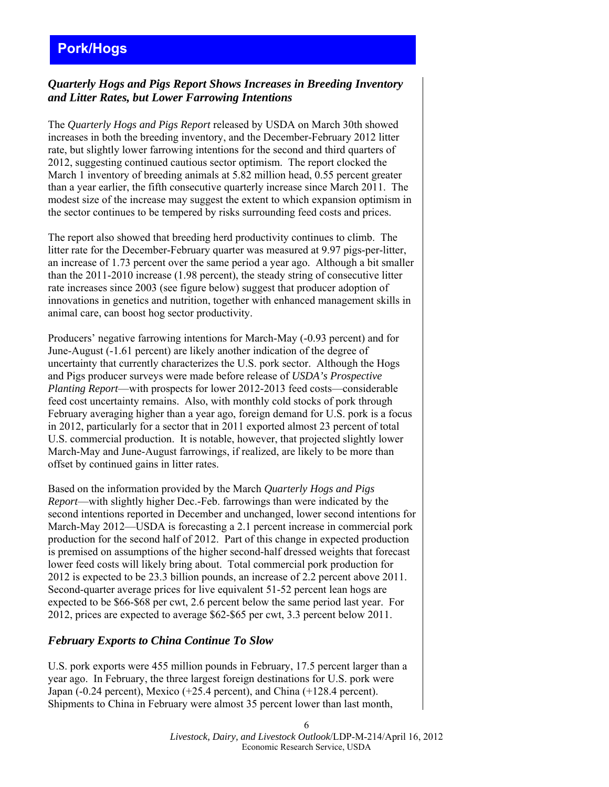# <span id="page-5-0"></span>**Pork/Hogs**

### *Quarterly Hogs and Pigs Report Shows Increases in Breeding Inventory and Litter Rates, but Lower Farrowing Intentions*

The *Quarterly Hogs and Pigs Report* released by USDA on March 30th showed increases in both the breeding inventory, and the December-February 2012 litter rate, but slightly lower farrowing intentions for the second and third quarters of 2012, suggesting continued cautious sector optimism. The report clocked the March 1 inventory of breeding animals at 5.82 million head, 0.55 percent greater than a year earlier, the fifth consecutive quarterly increase since March 2011. The modest size of the increase may suggest the extent to which expansion optimism in the sector continues to be tempered by risks surrounding feed costs and prices.

The report also showed that breeding herd productivity continues to climb. The litter rate for the December-February quarter was measured at 9.97 pigs-per-litter, an increase of 1.73 percent over the same period a year ago. Although a bit smaller than the 2011-2010 increase (1.98 percent), the steady string of consecutive litter rate increases since 2003 (see figure below) suggest that producer adoption of innovations in genetics and nutrition, together with enhanced management skills in animal care, can boost hog sector productivity.

Producers' negative farrowing intentions for March-May (-0.93 percent) and for June-August (-1.61 percent) are likely another indication of the degree of uncertainty that currently characterizes the U.S. pork sector. Although the Hogs and Pigs producer surveys were made before release of *USDA's Prospective Planting Report*—with prospects for lower 2012-2013 feed costs—considerable feed cost uncertainty remains. Also, with monthly cold stocks of pork through February averaging higher than a year ago, foreign demand for U.S. pork is a focus in 2012, particularly for a sector that in 2011 exported almost 23 percent of total U.S. commercial production. It is notable, however, that projected slightly lower March-May and June-August farrowings, if realized, are likely to be more than offset by continued gains in litter rates.

Based on the information provided by the March *Quarterly Hogs and Pigs Report*—with slightly higher Dec.-Feb. farrowings than were indicated by the second intentions reported in December and unchanged, lower second intentions for March-May 2012—USDA is forecasting a 2.1 percent increase in commercial pork production for the second half of 2012. Part of this change in expected production is premised on assumptions of the higher second-half dressed weights that forecast lower feed costs will likely bring about. Total commercial pork production for 2012 is expected to be 23.3 billion pounds, an increase of 2.2 percent above 2011. Second-quarter average prices for live equivalent 51-52 percent lean hogs are expected to be \$66-\$68 per cwt, 2.6 percent below the same period last year. For 2012, prices are expected to average \$62-\$65 per cwt, 3.3 percent below 2011.

### *February Exports to China Continue To Slow*

U.S. pork exports were 455 million pounds in February, 17.5 percent larger than a year ago. In February, the three largest foreign destinations for U.S. pork were Japan (-0.24 percent), Mexico (+25.4 percent), and China (+128.4 percent). Shipments to China in February were almost 35 percent lower than last month,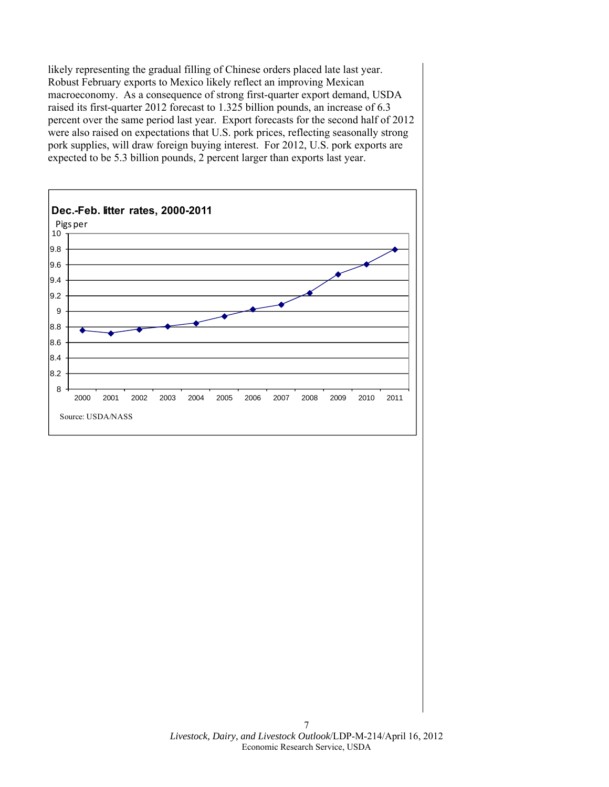likely representing the gradual filling of Chinese orders placed late last year. Robust February exports to Mexico likely reflect an improving Mexican macroeconomy. As a consequence of strong first-quarter export demand, USDA raised its first-quarter 2012 forecast to 1.325 billion pounds, an increase of 6.3 percent over the same period last year. Export forecasts for the second half of 2012 were also raised on expectations that U.S. pork prices, reflecting seasonally strong pork supplies, will draw foreign buying interest. For 2012, U.S. pork exports are expected to be 5.3 billion pounds, 2 percent larger than exports last year.

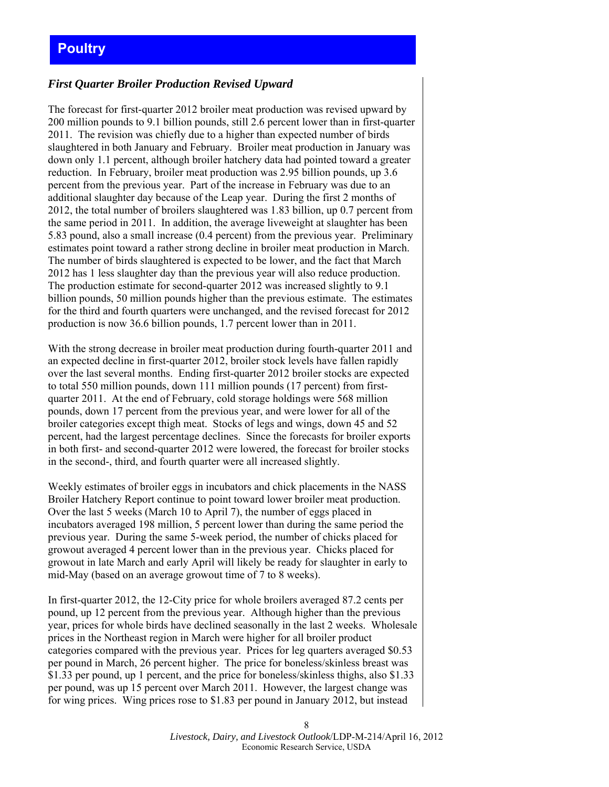## <span id="page-7-0"></span>*First Quarter Broiler Production Revised Upward*

The forecast for first-quarter 2012 broiler meat production was revised upward by 200 million pounds to 9.1 billion pounds, still 2.6 percent lower than in first-quarter 2011. The revision was chiefly due to a higher than expected number of birds slaughtered in both January and February. Broiler meat production in January was down only 1.1 percent, although broiler hatchery data had pointed toward a greater reduction. In February, broiler meat production was 2.95 billion pounds, up 3.6 percent from the previous year. Part of the increase in February was due to an additional slaughter day because of the Leap year. During the first 2 months of 2012, the total number of broilers slaughtered was 1.83 billion, up 0.7 percent from the same period in 2011. In addition, the average liveweight at slaughter has been 5.83 pound, also a small increase (0.4 percent) from the previous year. Preliminary estimates point toward a rather strong decline in broiler meat production in March. The number of birds slaughtered is expected to be lower, and the fact that March 2012 has 1 less slaughter day than the previous year will also reduce production. The production estimate for second-quarter 2012 was increased slightly to 9.1 billion pounds, 50 million pounds higher than the previous estimate. The estimates for the third and fourth quarters were unchanged, and the revised forecast for 2012 production is now 36.6 billion pounds, 1.7 percent lower than in 2011.

With the strong decrease in broiler meat production during fourth-quarter 2011 and an expected decline in first-quarter 2012, broiler stock levels have fallen rapidly over the last several months. Ending first-quarter 2012 broiler stocks are expected to total 550 million pounds, down 111 million pounds (17 percent) from firstquarter 2011. At the end of February, cold storage holdings were 568 million pounds, down 17 percent from the previous year, and were lower for all of the broiler categories except thigh meat. Stocks of legs and wings, down 45 and 52 percent, had the largest percentage declines. Since the forecasts for broiler exports in both first- and second-quarter 2012 were lowered, the forecast for broiler stocks in the second-, third, and fourth quarter were all increased slightly.

Weekly estimates of broiler eggs in incubators and chick placements in the NASS Broiler Hatchery Report continue to point toward lower broiler meat production. Over the last 5 weeks (March 10 to April 7), the number of eggs placed in incubators averaged 198 million, 5 percent lower than during the same period the previous year. During the same 5-week period, the number of chicks placed for growout averaged 4 percent lower than in the previous year. Chicks placed for growout in late March and early April will likely be ready for slaughter in early to mid-May (based on an average growout time of 7 to 8 weeks).

In first-quarter 2012, the 12-City price for whole broilers averaged 87.2 cents per pound, up 12 percent from the previous year. Although higher than the previous year, prices for whole birds have declined seasonally in the last 2 weeks. Wholesale prices in the Northeast region in March were higher for all broiler product categories compared with the previous year. Prices for leg quarters averaged \$0.53 per pound in March, 26 percent higher. The price for boneless/skinless breast was \$1.33 per pound, up 1 percent, and the price for boneless/skinless thighs, also \$1.33 per pound, was up 15 percent over March 2011. However, the largest change was for wing prices. Wing prices rose to \$1.83 per pound in January 2012, but instead

> *Livestock, Dairy, and Livestock Outlook*/LDP-M-214/April 16, 2012 Economic Research Service, USDA

8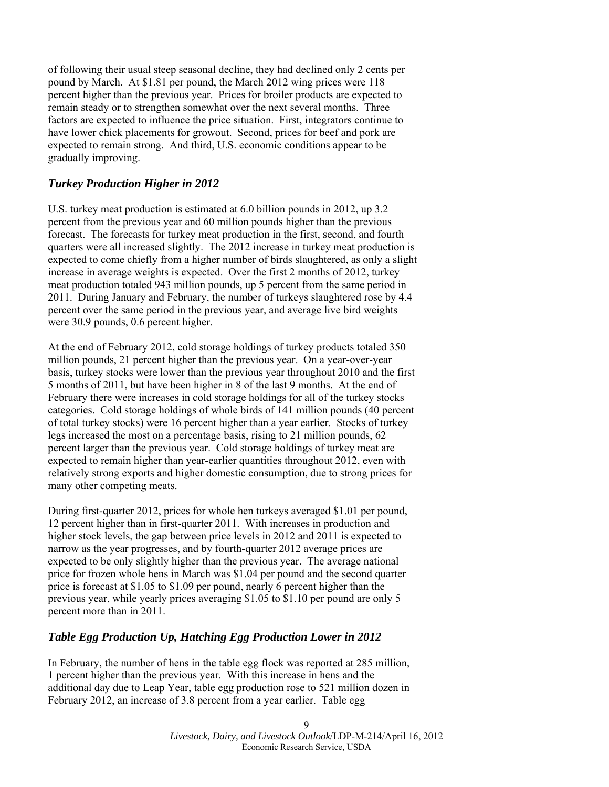of following their usual steep seasonal decline, they had declined only 2 cents per pound by March. At \$1.81 per pound, the March 2012 wing prices were 118 percent higher than the previous year. Prices for broiler products are expected to remain steady or to strengthen somewhat over the next several months. Three factors are expected to influence the price situation. First, integrators continue to have lower chick placements for growout. Second, prices for beef and pork are expected to remain strong. And third, U.S. economic conditions appear to be gradually improving.

# *Turkey Production Higher in 2012*

U.S. turkey meat production is estimated at 6.0 billion pounds in 2012, up 3.2 percent from the previous year and 60 million pounds higher than the previous forecast. The forecasts for turkey meat production in the first, second, and fourth quarters were all increased slightly. The 2012 increase in turkey meat production is expected to come chiefly from a higher number of birds slaughtered, as only a slight increase in average weights is expected. Over the first 2 months of 2012, turkey meat production totaled 943 million pounds, up 5 percent from the same period in 2011. During January and February, the number of turkeys slaughtered rose by 4.4 percent over the same period in the previous year, and average live bird weights were 30.9 pounds, 0.6 percent higher.

At the end of February 2012, cold storage holdings of turkey products totaled 350 million pounds, 21 percent higher than the previous year. On a year-over-year basis, turkey stocks were lower than the previous year throughout 2010 and the first 5 months of 2011, but have been higher in 8 of the last 9 months. At the end of February there were increases in cold storage holdings for all of the turkey stocks categories. Cold storage holdings of whole birds of 141 million pounds (40 percent of total turkey stocks) were 16 percent higher than a year earlier. Stocks of turkey legs increased the most on a percentage basis, rising to 21 million pounds, 62 percent larger than the previous year. Cold storage holdings of turkey meat are expected to remain higher than year-earlier quantities throughout 2012, even with relatively strong exports and higher domestic consumption, due to strong prices for many other competing meats.

During first-quarter 2012, prices for whole hen turkeys averaged \$1.01 per pound, 12 percent higher than in first-quarter 2011. With increases in production and higher stock levels, the gap between price levels in 2012 and 2011 is expected to narrow as the year progresses, and by fourth-quarter 2012 average prices are expected to be only slightly higher than the previous year. The average national price for frozen whole hens in March was \$1.04 per pound and the second quarter price is forecast at \$1.05 to \$1.09 per pound, nearly 6 percent higher than the previous year, while yearly prices averaging \$1.05 to \$1.10 per pound are only 5 percent more than in 2011.

## *Table Egg Production Up, Hatching Egg Production Lower in 2012*

In February, the number of hens in the table egg flock was reported at 285 million, 1 percent higher than the previous year. With this increase in hens and the additional day due to Leap Year, table egg production rose to 521 million dozen in February 2012, an increase of 3.8 percent from a year earlier. Table egg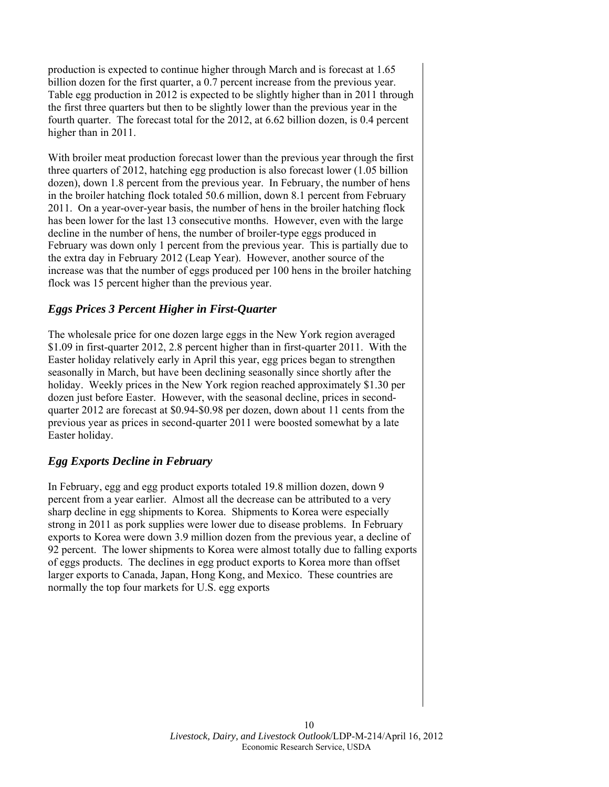production is expected to continue higher through March and is forecast at 1.65 billion dozen for the first quarter, a 0.7 percent increase from the previous year. Table egg production in 2012 is expected to be slightly higher than in 2011 through the first three quarters but then to be slightly lower than the previous year in the fourth quarter. The forecast total for the 2012, at 6.62 billion dozen, is 0.4 percent higher than in 2011.

With broiler meat production forecast lower than the previous year through the first three quarters of 2012, hatching egg production is also forecast lower (1.05 billion dozen), down 1.8 percent from the previous year. In February, the number of hens in the broiler hatching flock totaled 50.6 million, down 8.1 percent from February 2011. On a year-over-year basis, the number of hens in the broiler hatching flock has been lower for the last 13 consecutive months. However, even with the large decline in the number of hens, the number of broiler-type eggs produced in February was down only 1 percent from the previous year. This is partially due to the extra day in February 2012 (Leap Year). However, another source of the increase was that the number of eggs produced per 100 hens in the broiler hatching flock was 15 percent higher than the previous year.

## *Eggs Prices 3 Percent Higher in First-Quarter*

The wholesale price for one dozen large eggs in the New York region averaged \$1.09 in first-quarter 2012, 2.8 percent higher than in first-quarter 2011. With the Easter holiday relatively early in April this year, egg prices began to strengthen seasonally in March, but have been declining seasonally since shortly after the holiday. Weekly prices in the New York region reached approximately \$1.30 per dozen just before Easter. However, with the seasonal decline, prices in secondquarter 2012 are forecast at \$0.94-\$0.98 per dozen, down about 11 cents from the previous year as prices in second-quarter 2011 were boosted somewhat by a late Easter holiday.

## *Egg Exports Decline in February*

In February, egg and egg product exports totaled 19.8 million dozen, down 9 percent from a year earlier. Almost all the decrease can be attributed to a very sharp decline in egg shipments to Korea. Shipments to Korea were especially strong in 2011 as pork supplies were lower due to disease problems. In February exports to Korea were down 3.9 million dozen from the previous year, a decline of 92 percent. The lower shipments to Korea were almost totally due to falling exports of eggs products. The declines in egg product exports to Korea more than offset larger exports to Canada, Japan, Hong Kong, and Mexico. These countries are normally the top four markets for U.S. egg exports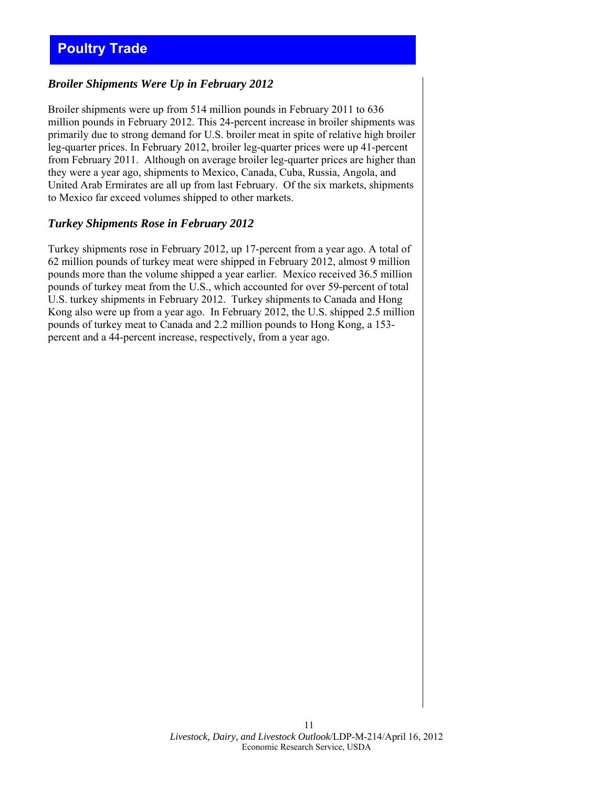# <span id="page-10-0"></span>*Broiler Shipments Were Up in February 2012*

Broiler shipments were up from 514 million pounds in February 2011 to 636 million pounds in February 2012. This 24-percent increase in broiler shipments was primarily due to strong demand for U.S. broiler meat in spite of relative high broiler leg-quarter prices. In February 2012, broiler leg-quarter prices were up 41-percent from February 2011. Although on average broiler leg-quarter prices are higher than they were a year ago, shipments to Mexico, Canada, Cuba, Russia, Angola, and United Arab Ermirates are all up from last February. Of the six markets, shipments to Mexico far exceed volumes shipped to other markets.

### *Turkey Shipments Rose in February 2012*

Turkey shipments rose in February 2012, up 17-percent from a year ago. A total of 62 million pounds of turkey meat were shipped in February 2012, almost 9 million pounds more than the volume shipped a year earlier. Mexico received 36.5 million pounds of turkey meat from the U.S., which accounted for over 59-percent of total U.S. turkey shipments in February 2012. Turkey shipments to Canada and Hong Kong also were up from a year ago. In February 2012, the U.S. shipped 2.5 million pounds of turkey meat to Canada and 2.2 million pounds to Hong Kong, a 153 percent and a 44-percent increase, respectively, from a year ago.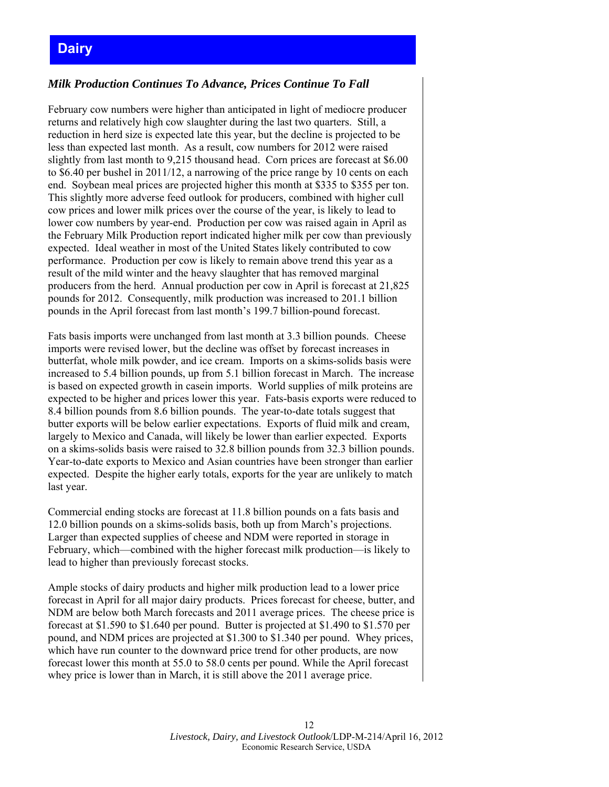# <span id="page-11-0"></span>**Dairy**

## *Milk Production Continues To Advance, Prices Continue To Fall*

February cow numbers were higher than anticipated in light of mediocre producer returns and relatively high cow slaughter during the last two quarters. Still, a reduction in herd size is expected late this year, but the decline is projected to be less than expected last month. As a result, cow numbers for 2012 were raised slightly from last month to 9,215 thousand head. Corn prices are forecast at \$6.00 to \$6.40 per bushel in 2011/12, a narrowing of the price range by 10 cents on each end. Soybean meal prices are projected higher this month at \$335 to \$355 per ton. This slightly more adverse feed outlook for producers, combined with higher cull cow prices and lower milk prices over the course of the year, is likely to lead to lower cow numbers by year-end. Production per cow was raised again in April as the February Milk Production report indicated higher milk per cow than previously expected. Ideal weather in most of the United States likely contributed to cow performance. Production per cow is likely to remain above trend this year as a result of the mild winter and the heavy slaughter that has removed marginal producers from the herd. Annual production per cow in April is forecast at 21,825 pounds for 2012. Consequently, milk production was increased to 201.1 billion pounds in the April forecast from last month's 199.7 billion-pound forecast.

Fats basis imports were unchanged from last month at 3.3 billion pounds. Cheese imports were revised lower, but the decline was offset by forecast increases in butterfat, whole milk powder, and ice cream. Imports on a skims-solids basis were increased to 5.4 billion pounds, up from 5.1 billion forecast in March. The increase is based on expected growth in casein imports. World supplies of milk proteins are expected to be higher and prices lower this year. Fats-basis exports were reduced to 8.4 billion pounds from 8.6 billion pounds. The year-to-date totals suggest that butter exports will be below earlier expectations. Exports of fluid milk and cream, largely to Mexico and Canada, will likely be lower than earlier expected. Exports on a skims-solids basis were raised to 32.8 billion pounds from 32.3 billion pounds. Year-to-date exports to Mexico and Asian countries have been stronger than earlier expected. Despite the higher early totals, exports for the year are unlikely to match last year.

Commercial ending stocks are forecast at 11.8 billion pounds on a fats basis and 12.0 billion pounds on a skims-solids basis, both up from March's projections. Larger than expected supplies of cheese and NDM were reported in storage in February, which—combined with the higher forecast milk production—is likely to lead to higher than previously forecast stocks.

Ample stocks of dairy products and higher milk production lead to a lower price forecast in April for all major dairy products. Prices forecast for cheese, butter, and NDM are below both March forecasts and 2011 average prices. The cheese price is forecast at \$1.590 to \$1.640 per pound. Butter is projected at \$1.490 to \$1.570 per pound, and NDM prices are projected at \$1.300 to \$1.340 per pound. Whey prices, which have run counter to the downward price trend for other products, are now forecast lower this month at 55.0 to 58.0 cents per pound. While the April forecast whey price is lower than in March, it is still above the 2011 average price.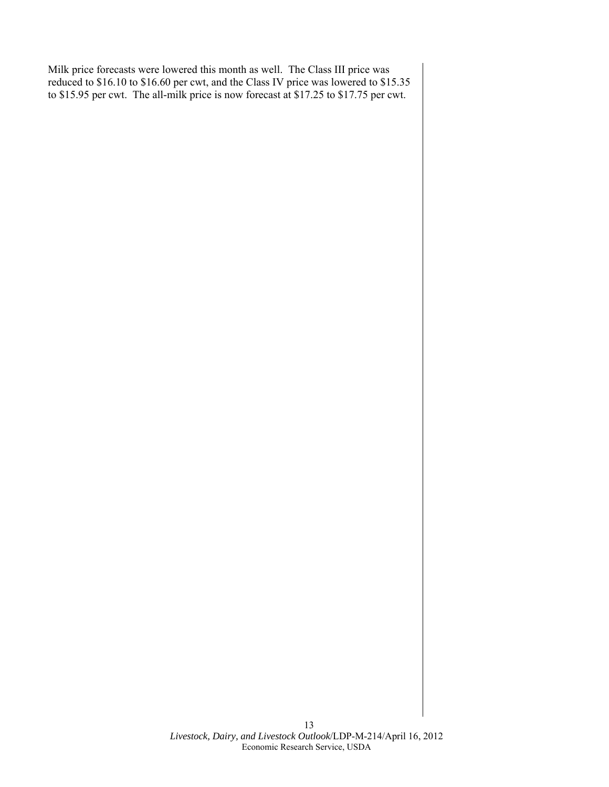Milk price forecasts were lowered this month as well. The Class III price was reduced to \$16.10 to \$16.60 per cwt, and the Class IV price was lowered to \$15.35 to \$15.95 per cwt. The all-milk price is now forecast at \$17.25 to \$17.75 per cwt.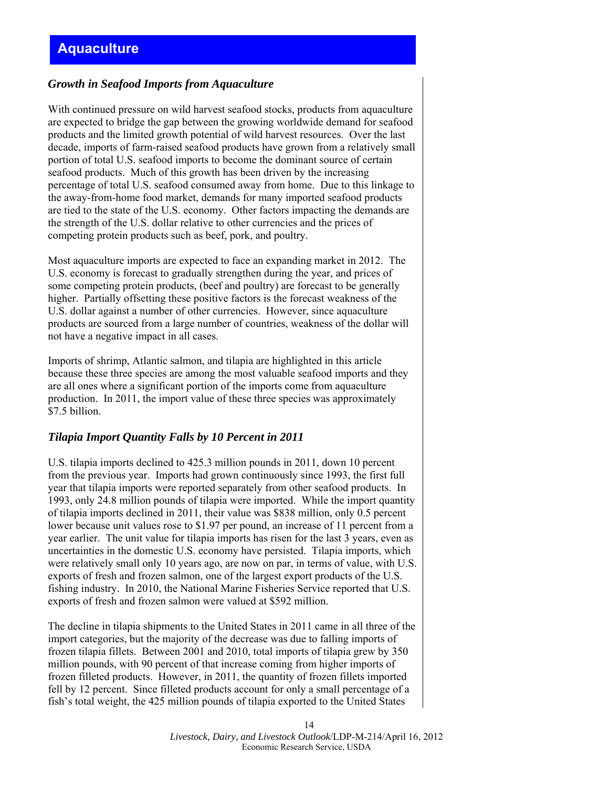### <span id="page-13-0"></span>*Growth in Seafood Imports from Aquaculture*

With continued pressure on wild harvest seafood stocks, products from aquaculture are expected to bridge the gap between the growing worldwide demand for seafood products and the limited growth potential of wild harvest resources. Over the last decade, imports of farm-raised seafood products have grown from a relatively small portion of total U.S. seafood imports to become the dominant source of certain seafood products. Much of this growth has been driven by the increasing percentage of total U.S. seafood consumed away from home. Due to this linkage to the away-from-home food market, demands for many imported seafood products are tied to the state of the U.S. economy. Other factors impacting the demands are the strength of the U.S. dollar relative to other currencies and the prices of competing protein products such as beef, pork, and poultry.

Most aquaculture imports are expected to face an expanding market in 2012. The U.S. economy is forecast to gradually strengthen during the year, and prices of some competing protein products, (beef and poultry) are forecast to be generally higher. Partially offsetting these positive factors is the forecast weakness of the U.S. dollar against a number of other currencies. However, since aquaculture products are sourced from a large number of countries, weakness of the dollar will not have a negative impact in all cases.

Imports of shrimp, Atlantic salmon, and tilapia are highlighted in this article because these three species are among the most valuable seafood imports and they are all ones where a significant portion of the imports come from aquaculture production. In 2011, the import value of these three species was approximately \$7.5 billion.

### *Tilapia Import Quantity Falls by 10 Percent in 2011*

U.S. tilapia imports declined to 425.3 million pounds in 2011, down 10 percent from the previous year. Imports had grown continuously since 1993, the first full year that tilapia imports were reported separately from other seafood products. In 1993, only 24.8 million pounds of tilapia were imported. While the import quantity of tilapia imports declined in 2011, their value was \$838 million, only 0.5 percent lower because unit values rose to \$1.97 per pound, an increase of 11 percent from a year earlier. The unit value for tilapia imports has risen for the last 3 years, even as uncertainties in the domestic U.S. economy have persisted. Tilapia imports, which were relatively small only 10 years ago, are now on par, in terms of value, with U.S. exports of fresh and frozen salmon, one of the largest export products of the U.S. fishing industry. In 2010, the National Marine Fisheries Service reported that U.S. exports of fresh and frozen salmon were valued at \$592 million.

The decline in tilapia shipments to the United States in 2011 came in all three of the import categories, but the majority of the decrease was due to falling imports of frozen tilapia fillets. Between 2001 and 2010, total imports of tilapia grew by 350 million pounds, with 90 percent of that increase coming from higher imports of frozen filleted products. However, in 2011, the quantity of frozen fillets imported fell by 12 percent. Since filleted products account for only a small percentage of a fish's total weight, the 425 million pounds of tilapia exported to the United States

> 14 *Livestock, Dairy, and Livestock Outlook*/LDP-M-214/April 16, 2012 Economic Research Service, USDA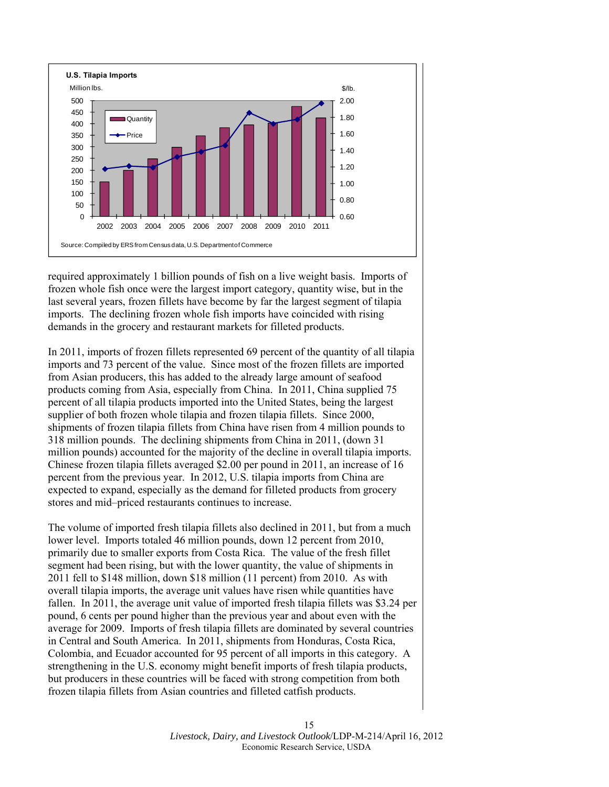

required approximately 1 billion pounds of fish on a live weight basis. Imports of frozen whole fish once were the largest import category, quantity wise, but in the last several years, frozen fillets have become by far the largest segment of tilapia imports. The declining frozen whole fish imports have coincided with rising demands in the grocery and restaurant markets for filleted products.

In 2011, imports of frozen fillets represented 69 percent of the quantity of all tilapia imports and 73 percent of the value. Since most of the frozen fillets are imported from Asian producers, this has added to the already large amount of seafood products coming from Asia, especially from China. In 2011, China supplied 75 percent of all tilapia products imported into the United States, being the largest supplier of both frozen whole tilapia and frozen tilapia fillets. Since 2000, shipments of frozen tilapia fillets from China have risen from 4 million pounds to 318 million pounds. The declining shipments from China in 2011, (down 31 million pounds) accounted for the majority of the decline in overall tilapia imports. Chinese frozen tilapia fillets averaged \$2.00 per pound in 2011, an increase of 16 percent from the previous year. In 2012, U.S. tilapia imports from China are expected to expand, especially as the demand for filleted products from grocery stores and mid–priced restaurants continues to increase.

The volume of imported fresh tilapia fillets also declined in 2011, but from a much lower level. Imports totaled 46 million pounds, down 12 percent from 2010, primarily due to smaller exports from Costa Rica. The value of the fresh fillet segment had been rising, but with the lower quantity, the value of shipments in 2011 fell to \$148 million, down \$18 million (11 percent) from 2010. As with overall tilapia imports, the average unit values have risen while quantities have fallen. In 2011, the average unit value of imported fresh tilapia fillets was \$3.24 per pound, 6 cents per pound higher than the previous year and about even with the average for 2009. Imports of fresh tilapia fillets are dominated by several countries in Central and South America. In 2011, shipments from Honduras, Costa Rica, Colombia, and Ecuador accounted for 95 percent of all imports in this category. A strengthening in the U.S. economy might benefit imports of fresh tilapia products, but producers in these countries will be faced with strong competition from both frozen tilapia fillets from Asian countries and filleted catfish products.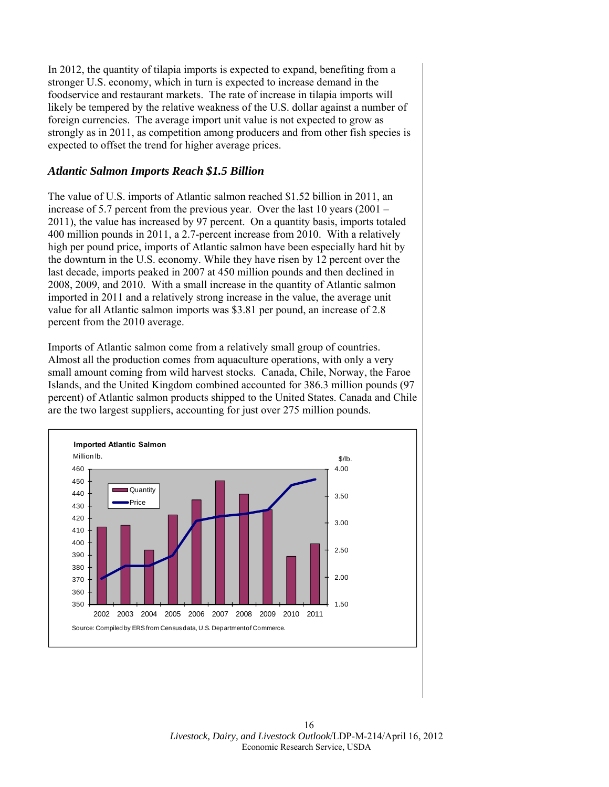In 2012, the quantity of tilapia imports is expected to expand, benefiting from a stronger U.S. economy, which in turn is expected to increase demand in the foodservice and restaurant markets. The rate of increase in tilapia imports will likely be tempered by the relative weakness of the U.S. dollar against a number of foreign currencies. The average import unit value is not expected to grow as strongly as in 2011, as competition among producers and from other fish species is expected to offset the trend for higher average prices.

### *Atlantic Salmon Imports Reach \$1.5 Billion*

The value of U.S. imports of Atlantic salmon reached \$1.52 billion in 2011, an increase of 5.7 percent from the previous year. Over the last 10 years (2001 – 2011), the value has increased by 97 percent. On a quantity basis, imports totaled 400 million pounds in 2011, a 2.7-percent increase from 2010. With a relatively high per pound price, imports of Atlantic salmon have been especially hard hit by the downturn in the U.S. economy. While they have risen by 12 percent over the last decade, imports peaked in 2007 at 450 million pounds and then declined in 2008, 2009, and 2010. With a small increase in the quantity of Atlantic salmon imported in 2011 and a relatively strong increase in the value, the average unit value for all Atlantic salmon imports was \$3.81 per pound, an increase of 2.8 percent from the 2010 average.

Imports of Atlantic salmon come from a relatively small group of countries. Almost all the production comes from aquaculture operations, with only a very small amount coming from wild harvest stocks. Canada, Chile, Norway, the Faroe Islands, and the United Kingdom combined accounted for 386.3 million pounds (97 percent) of Atlantic salmon products shipped to the United States. Canada and Chile are the two largest suppliers, accounting for just over 275 million pounds.



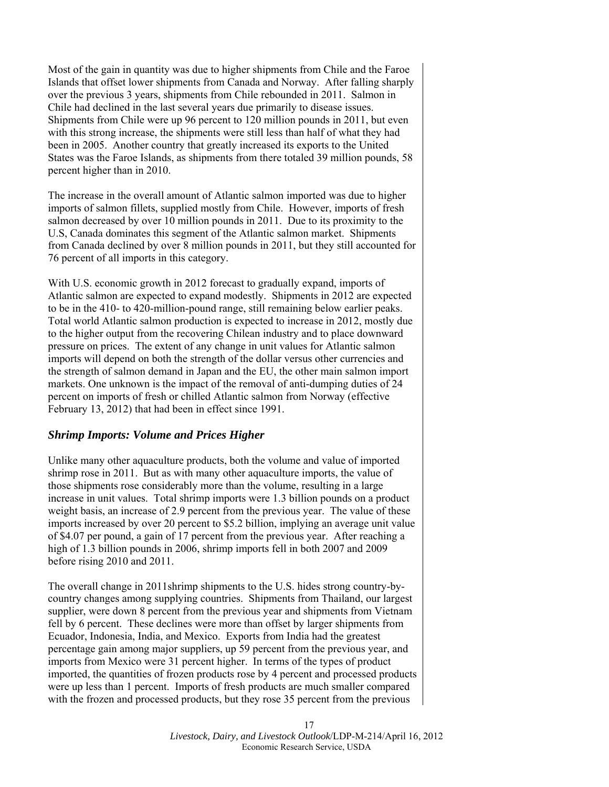Most of the gain in quantity was due to higher shipments from Chile and the Faroe Islands that offset lower shipments from Canada and Norway. After falling sharply over the previous 3 years, shipments from Chile rebounded in 2011. Salmon in Chile had declined in the last several years due primarily to disease issues. Shipments from Chile were up 96 percent to 120 million pounds in 2011, but even with this strong increase, the shipments were still less than half of what they had been in 2005. Another country that greatly increased its exports to the United States was the Faroe Islands, as shipments from there totaled 39 million pounds, 58 percent higher than in 2010.

The increase in the overall amount of Atlantic salmon imported was due to higher imports of salmon fillets, supplied mostly from Chile. However, imports of fresh salmon decreased by over 10 million pounds in 2011. Due to its proximity to the U.S, Canada dominates this segment of the Atlantic salmon market. Shipments from Canada declined by over 8 million pounds in 2011, but they still accounted for 76 percent of all imports in this category.

With U.S. economic growth in 2012 forecast to gradually expand, imports of Atlantic salmon are expected to expand modestly. Shipments in 2012 are expected to be in the 410- to 420-million-pound range, still remaining below earlier peaks. Total world Atlantic salmon production is expected to increase in 2012, mostly due to the higher output from the recovering Chilean industry and to place downward pressure on prices. The extent of any change in unit values for Atlantic salmon imports will depend on both the strength of the dollar versus other currencies and the strength of salmon demand in Japan and the EU, the other main salmon import markets. One unknown is the impact of the removal of anti-dumping duties of 24 percent on imports of fresh or chilled Atlantic salmon from Norway (effective February 13, 2012) that had been in effect since 1991.

### *Shrimp Imports: Volume and Prices Higher*

Unlike many other aquaculture products, both the volume and value of imported shrimp rose in 2011. But as with many other aquaculture imports, the value of those shipments rose considerably more than the volume, resulting in a large increase in unit values. Total shrimp imports were 1.3 billion pounds on a product weight basis, an increase of 2.9 percent from the previous year. The value of these imports increased by over 20 percent to \$5.2 billion, implying an average unit value of \$4.07 per pound, a gain of 17 percent from the previous year. After reaching a high of 1.3 billion pounds in 2006, shrimp imports fell in both 2007 and 2009 before rising 2010 and 2011.

The overall change in 2011shrimp shipments to the U.S. hides strong country-bycountry changes among supplying countries. Shipments from Thailand, our largest supplier, were down 8 percent from the previous year and shipments from Vietnam fell by 6 percent. These declines were more than offset by larger shipments from Ecuador, Indonesia, India, and Mexico. Exports from India had the greatest percentage gain among major suppliers, up 59 percent from the previous year, and imports from Mexico were 31 percent higher. In terms of the types of product imported, the quantities of frozen products rose by 4 percent and processed products were up less than 1 percent. Imports of fresh products are much smaller compared with the frozen and processed products, but they rose 35 percent from the previous

> 17 *Livestock, Dairy, and Livestock Outlook*/LDP-M-214/April 16, 2012 Economic Research Service, USDA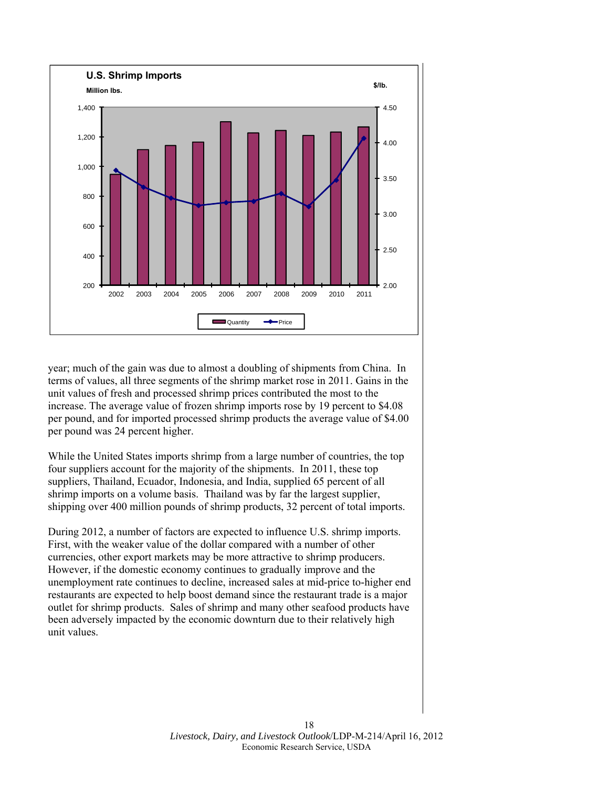

year; much of the gain was due to almost a doubling of shipments from China. In terms of values, all three segments of the shrimp market rose in 2011. Gains in the unit values of fresh and processed shrimp prices contributed the most to the increase. The average value of frozen shrimp imports rose by 19 percent to \$4.08 per pound, and for imported processed shrimp products the average value of \$4.00 per pound was 24 percent higher.

While the United States imports shrimp from a large number of countries, the top four suppliers account for the majority of the shipments. In 2011, these top suppliers, Thailand, Ecuador, Indonesia, and India, supplied 65 percent of all shrimp imports on a volume basis. Thailand was by far the largest supplier, shipping over 400 million pounds of shrimp products, 32 percent of total imports.

During 2012, a number of factors are expected to influence U.S. shrimp imports. First, with the weaker value of the dollar compared with a number of other currencies, other export markets may be more attractive to shrimp producers. However, if the domestic economy continues to gradually improve and the unemployment rate continues to decline, increased sales at mid-price to-higher end restaurants are expected to help boost demand since the restaurant trade is a major outlet for shrimp products. Sales of shrimp and many other seafood products have been adversely impacted by the economic downturn due to their relatively high unit values.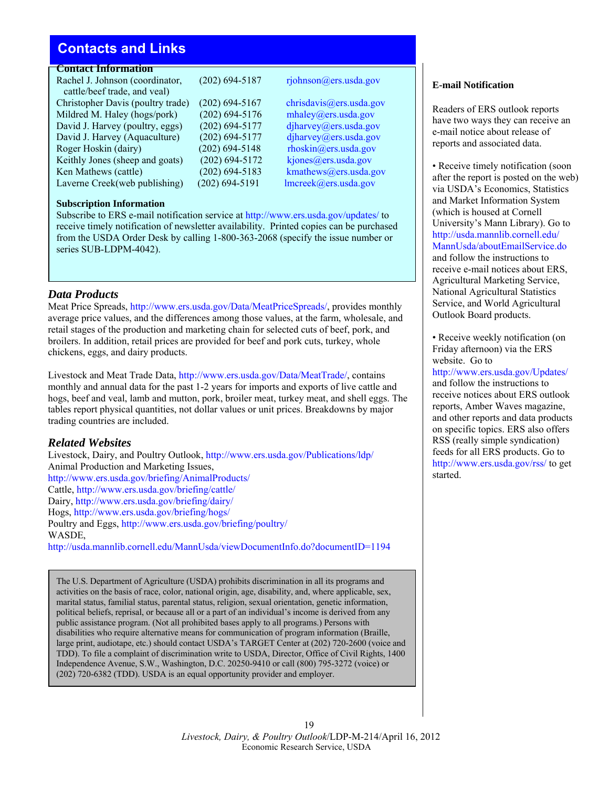# <span id="page-18-0"></span>**Contacts and Links**

### **Contact Information**

Rachel J. Johnson (coordinator, (202) 694-5187 rjohnson@ers.usda.gov cattle/beef trade, and veal) Christopher Davis (poultry trade) (202) 694-5167 chrisdavis@ers.usda.gov Mildred M. Haley (hogs/pork) (202) 694-5176 [mhaley@ers.usda.gov](mailto:chrisdavis@ers.usda.gov) David J. Harvey (poultry, eggs) (202) 694-5177 [djharvey@ers.usda.go](mailto:mhaley@ers.usda.gov)v David J. Harvey (Aquaculture) (202) 694-5177 [djharvey@ers.usda.gov](mailto:djharvey@ers.usda.gov) Roger Hoskin (dairy) (202) 694-5148 [rhoskin@ers.usda.gov](mailto: djharvey@ers.usda.gov) Keithly Jones (sheep and goats) (202) 694-5172 [kjones@ers.usda.gov](mailto:rhoskin@ers.usda.gov) Ken Mathews (cattle) (202) 694-5183 kmathews @ers.usda.gov Laverne Creek(web publishing) (202) 694-5191 [lmcreek@ers.usda.gov](mailto:kmathews@ers.usda.gov)

### **Subscription Information**

Subscribe to ERS e-mail notification service at http://www.ers.usda.gov/updates/ to receive timely notification of newsletter availab[ility. Printed copies can be purcha](http://www.ers.usda.gov/updates/)sed from the USDA Order Desk by calling 1-800-363-2068 (specify the issue number or series SUB-LDPM-4042).

### *Data Products*

Meat Price Spreads, [http://www.ers.usda.gov/Data/MeatPriceSpreads/,](http://www.ers.usda.gov/Data/MeatPriceSpreads/) provides monthly average price values, and the differences among those values, at the farm, wholesale, and retail stages of the production and marketing chain for selected cuts of beef, pork, and broilers. In addition, retail prices are provided for beef and pork cuts, turkey, whole chickens, eggs, and dairy products.

Livestock and Meat Trade Data, <http://www.ers.usda.gov/Data/MeatTrade/>, contains monthly and annual data for the past 1-2 years for imports and exports of live cattle and hogs, beef and veal, lamb and mutton, pork, broiler meat, turkey meat, and shell eggs. The tables report physical quantities, not dollar values or unit prices. Breakdowns by major trading countries are included.

### *Related Websites*

Livestock, Dairy, and Poultry Outlook,<http://www.ers.usda.gov/Publications/ldp/> Animal Production and Marketing Issues, <http://www.ers.usda.gov/briefing/AnimalProducts/> Cattle,<http://www.ers.usda.gov/briefing/cattle/> Dairy,<http://www.ers.usda.gov/briefing/dairy/> Hogs,<http://www.ers.usda.gov/briefing/hogs/> Poultry and Eggs,<http://www.ers.usda.gov/briefing/poultry/> WASDE, <http://usda.mannlib.cornell.edu/MannUsda/viewDocumentInfo.do?documentID=1194>

The U.S. Department of Agriculture (USDA) prohibits discrimination in all its programs and activities on the basis of race, color, national origin, age, disability, and, where applicable, sex, marital status, familial status, parental status, religion, sexual orientation, genetic information, political beliefs, reprisal, or because all or a part of an individual's income is derived from any public assistance program. (Not all prohibited bases apply to all programs.) Persons with disabilities who require alternative means for communication of program information (Braille, large print, audiotape, etc.) should contact USDA's TARGET Center at (202) 720-2600 (voice and TDD). To file a complaint of discrimination write to USDA, Director, Office of Civil Rights, 1400 Independence Avenue, S.W., Washington, D.C. 20250-9410 or call (800) 795-3272 (voice) or (202) 720-6382 (TDD). USDA is an equal opportunity provider and employer.

### 19 *Livestock, Dairy, & Poultry Outlook*/LDP-M-214/April 16, 2012 Economic Research Service, USDA

### **E-mail Notification**

Readers of ERS outlook reports have two ways they can receive an e-mail notice about release of reports and associated data.

• Receive timely notification (soon after the report is posted on the web) via USDA's Economics, Statistics and Market Information System (which is housed at Cornell University's Mann Library). Go to http://usda.mannlib.cornell.edu/ M[annUsda/aboutEmailService.do](http://usda.mannlib.cornell.edu/MannUsda/aboutEmailService.do)  and follow the instructions to receive e-mail notices about ERS, Agricultural Marketing Service, National Agricultural Statistics Service, and World Agricultural Outlook Board products.

• Receive weekly notification (on Friday afternoon) via the ERS website. Go to

h[ttp://www.ers.usda.gov/Updates/](http://www.ers.usda.gov/Updates/) and follow the instructions to receive notices about ERS outlook reports, Amber Waves magazine, and other reports and data products on specific topics. ERS also offers RSS (really simple syndication) feeds for all ERS products. Go to ht[tp://www.ers.usda.gov/rss/ to](http://www.ers.usda.gov/rss/) get started.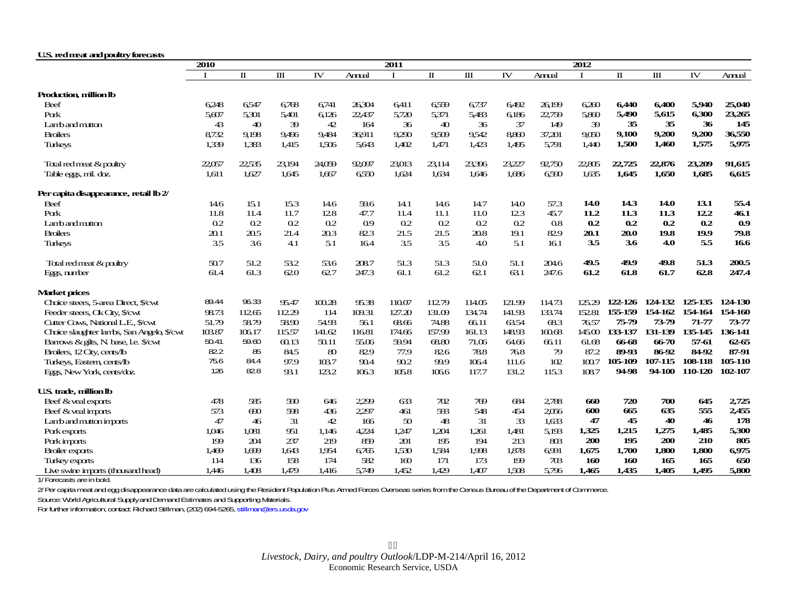#### <span id="page-19-0"></span>**U.S. red meat and poultry forecasts**

|                                           | 2010           |                       |                | 2011           |                |                |                |           | 2012   |        |              |              |         |           |         |
|-------------------------------------------|----------------|-----------------------|----------------|----------------|----------------|----------------|----------------|-----------|--------|--------|--------------|--------------|---------|-----------|---------|
|                                           | $\mathbf I$    | $\mathbf I$           | Ш              | IV             | Annual         | $\bf{I}$       | п              | $\rm III$ | IV     | Annual | $\mathbf{I}$ | $\mathbf{u}$ | Ш       | IV        | Annual  |
| Production, million lb                    |                |                       |                |                |                |                |                |           |        |        |              |              |         |           |         |
| Beef                                      | 6248           | 6547                  | 6768           | 6741           | 26304          | 6411           | 6559           | 6737      | 6492   | 26.199 | 6260         | 6,440        | 6,400   | 5,940     | 25,040  |
| Pork                                      | 5.607          | 5.301                 | 5.401          | 6.126          | 22,437         | 5,720          | 5.371          | 5,483     | 6.186  | 22,759 | 5.860        | 5,490        | 5,615   | 6,300     | 23,265  |
| Lambandmutton                             | 43             | 40                    | 39             | 42             | 164            | 36             | 40             | 36        | 37     | 149    | 39           | 35           | 35      | 36        | 145     |
| <b>Broilers</b>                           | 8732           | 9,198                 | 9496           | 9,484          | 36911          | 9.290          | 9509           | 9542      | 8800   | 37,201 | 9.050        | 9,100        | 9,200   | 9,200     | 36,550  |
| <b>Turkeys</b>                            | 1,339          | 1,383                 | 1,415          | 1,506          | 5,643          | 1,402          | 1,471          | 1,423     | 1,495  | 5,791  | 1,440        | 1,500        | 1,460   | 1,575     | 5,975   |
| Total red meat & poultry                  | 22,057         | 22,535                | 23,194         | 24,059         | 92,097         | 23,013         | 23,114         | 23.396    | 23,227 | 92750  | 22.805       | 22,725       | 22,876  | 23,209    | 91,615  |
| Table eggs, mil. doz.                     | 1,611          | 1,627                 | 1,645          | 1,667          | 6550           | 1,624          | 1,634          | 1,646     | 1,686  | 6590   | 1,635        | 1,645        | 1,650   | 1,685     | 6,615   |
| Per capita disappearance, retail lb 2/    |                |                       |                |                |                |                |                |           |        |        |              |              |         |           |         |
| Beef                                      | 14.6           | 15.1                  | 15.3           | 14.6           | 59.6           | 14.1           | 14.6           | 14.7      | 14.O   | 57.3   | 14.0         | 14.3         | 14.0    | 13.1      | 55.4    |
| Pork                                      | 11.8           | 11.4                  | 11.7           | 128            | 47.7           | 11.4           | 11.1           | 11.0      | 12.3   | 45.7   | 11.2         | 11.3         | 11.3    | 12.2      | 46.1    |
| Lamband mutton                            | 0 <sub>2</sub> | 0 <sub>2</sub>        | 0 <sub>2</sub> | 0 <sub>2</sub> | 0 <sub>0</sub> | 0 <sub>2</sub> | 0 <sub>2</sub> | 0.2       | 0.2    | 08     | 0.2          | 0.2          | 0.2     | 0.2       | 0.9     |
| <b>Broilers</b>                           | 20.1           | 20.5                  | 21.4           | 20.3           | 823            | 21.5           | 21.5           | 20.8      | 19.1   | 82.9   | 20.1         | 20.0         | 19.8    | 19.9      | 79.8    |
| <b>Turkeys</b>                            | 3.5            | 36                    | 4.1            | 5.1            | 164            | 3.5            | 3.5            | 40        | 5.1    | 161    | 3.5          | 3.6          | 4.0     | 5.5       | 16.6    |
| Total red meat & poultry                  | 50.7           | 51.2                  | 53.2           | 53.6           | 2087           | 51.3           | 51.3           | 51.0      | 51.1   | 204.6  | 49.5         | 49.9         | 49.8    | 51.3      | 200.5   |
| Eggs, number                              | 61.4           | 61.3                  | 620            | 627            | 247.3          | 61.1           | 61.2           | 621       | 63.1   | 247.6  | 61.2         | 61.8         | 61.7    | 62.8      | 247.4   |
| <b>Market prices</b>                      |                |                       |                |                |                |                |                |           |        |        |              |              |         |           |         |
| Choice steers, 5-area Direct, \$/cwt      | 89.44          | 96.33                 | 95.47          | 100.28         | 95.38          | 110.07         | 11279          | 114.05    | 121.99 | 114.73 | 125.29       | 122-126      | 124-132 | 125-135   | 124-130 |
| Feeder steers, Ok City, \$/cwt            | 98.73          | 11265                 | 11229          | 114            | 109.31         | 127.20         | 131.09         | 134.74    | 141.93 | 133.74 | 152.81       | 155-159      | 154-162 | 154-164   | 154-160 |
| Cutter Cows, National L.E., \$/cwt        | 51.79          | 58.79                 | 5890           | 54.93          | 561            | 6866           | 74.88          | 66.11     | 63.54  | 683    | 76.57        | 75-79        | 73-79   | $71 - 77$ | 73-77   |
| Choice slaughter lambs, San Angelo, S/cwt | 103.87         | 106.17                | 115.57         | 141.62         | 11681          | 174.66         | 157.99         | 161.13    | 148.93 | 16068  | 145.00       | 133-137      | 131-139 | 135-145   | 136-141 |
| Barrows & gilts, N. base, l.e. \$/cwt     | 50.41          | 59.60                 | 60.13          | 50.11          | 55.06          | 59.94          | 68.80          | 71.06     | 64.66  | 66.11  | 61.68        | 66-68        | 66-70   | 57-61     | 62-65   |
| Broilers, 12 City, cents/lb               | 82.2           | 85                    | 84.5           | 80             | 829            | 77.9           | 826            | 78.8      | 768    | 79     | 87.2         | 89-93        | 86-92   | 84-92     | 87-91   |
| Turkeys, Eastern, cents/lb                | 75.6           | 84.4                  | 97.9           | 103.7          | 90.4           | 90.2           | 99.9           | 1064      | 111.6  | 102    | 100.7        | 105-109      | 107-115 | 108-118   | 105-110 |
| Eggs, New York, cents/doz.                | 126            | 828                   | 93.1           | 123.2          | 1063           | 105.8          | 1066           | 117.7     | 131.2  | 115.3  | 108.7        | 94-98        | 94-100  | 110-120   | 102-107 |
| U.S. trade, million lb                    |                |                       |                |                |                |                |                |           |        |        |              |              |         |           |         |
| Beef & yeal exports                       | 478            | 585                   | 590            | 646            | 2299           | 633            | 702            | 769       | 684    | 2788   | 660          | 720          | 700     | 645       | 2,725   |
| Beef & yeal inports                       | 573            | $\boldsymbol{\omega}$ | 598            | 436            | 2297           | 461            | 593            | 548       | 454    | 2056   | 600          | 665          | 635     | 555       | 2,455   |
| Lamband mutton imports                    | 47             | 46                    | 31             | 42             | 166            | 50             | 48             | 31        | 33     | 1,633  | 47           | 45           | 40      | 46        | 178     |
| Porkexports                               | 1.046          | 1.081                 | 951            | 1.146          | 4224           | 1,247          | 1,204          | 1.261     | 1.481  | 5.193  | 1,325        | 1,215        | 1,275   | 1.485     | 5,300   |
| Porkimports                               | 199            | 204                   | 237            | 219            | 859            | 201            | 195            | 194       | 213    | 803    | 200          | 195          | 200     | 210       | 805     |
| <b>Broiler exports</b>                    | 1,469          | 1.699                 | 1,643          | 1,954          | 6,765          | 1,530          | 1,584          | 1,998     | 1,878  | 6991   | 1,675        | 1,700        | 1,800   | 1,800     | 6,975   |
| Turkey exports                            | 114            | 136                   | 158            | 174            | 582            | 160            | 171            | 173       | 199    | 703    | 160          | 160          | 165     | 165       | 650     |
| Live swine inports (thousand head)        | 1,446          | 1,408                 | 1,479          | 1,416          | 5,749          | 1,452          | 1,429          | 1,407     | 1.508  | 5.796  | 1,465        | 1.435        | 1,405   | 1.495     | 5,800   |

1/ Forecasts are in bold.

2/ Per capita meat and egg disappearance data are calculated using the Resident Population Plus Armed Forces Overseas series from the Census Bureau of the Department of Commerce.

Source: World Agricultural Supply and Demand Estimates and Supporting Materials.

For further information, contact: Richard Stillman, (202) 694-5265, stillman@ers.usda.gov